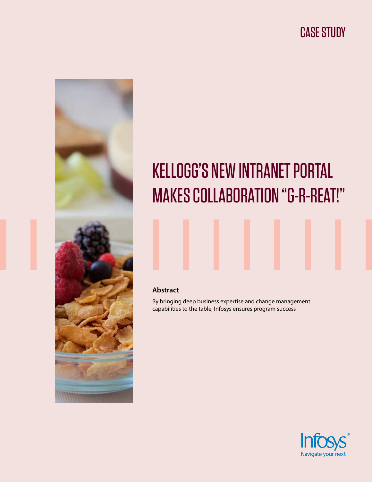# CASE STUDY



# KELLOGG'S NEW INTRANET PORTAL MAKES COLLABORATION "G-R-REAT!"

### **Abstract**

By bringing deep business expertise and change management capabilities to the table, Infosys ensures program success

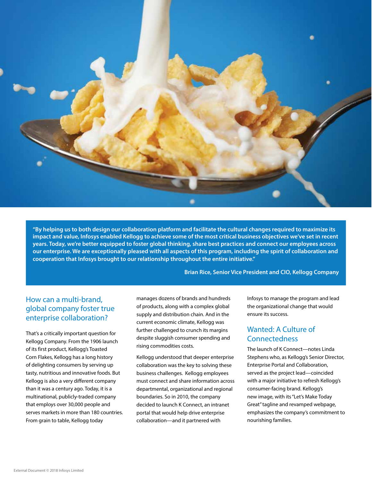

**"By helping us to both design our collaboration platform and facilitate the cultural changes required to maximize its impact and value, Infosys enabled Kellogg to achieve some of the most critical business objectives we've set in recent years. Today, we're better equipped to foster global thinking, share best practices and connect our employees across our enterprise. We are exceptionally pleased with all aspects of this program, including the spirit of collaboration and cooperation that Infosys brought to our relationship throughout the entire initiative."**

**Brian Rice, Senior Vice President and CIO, Kellogg Company**

# How can a multi-brand, global company foster true enterprise collaboration?

That's a critically important question for Kellogg Company. From the 1906 launch of its first product, Kellogg's Toasted Corn Flakes, Kellogg has a long history of delighting consumers by serving up tasty, nutritious and innovative foods. But Kellogg is also a very different company than it was a century ago. Today, it is a multinational, publicly-traded company that employs over 30,000 people and serves markets in more than 180 countries. From grain to table, Kellogg today

manages dozens of brands and hundreds of products, along with a complex global supply and distribution chain. And in the current economic climate, Kellogg was further challenged to crunch its margins despite sluggish consumer spending and rising commodities costs.

Kellogg understood that deeper enterprise collaboration was the key to solving these business challenges. Kellogg employees must connect and share information across departmental, organizational and regional boundaries. So in 2010, the company decided to launch K Connect, an intranet portal that would help drive enterprise collaboration—and it partnered with

Infosys to manage the program and lead the organizational change that would ensure its success.

# Wanted: A Culture of Connectedness

The launch of K Connect—notes Linda Stephens who, as Kellogg's Senior Director, Enterprise Portal and Collaboration, served as the project lead—coincided with a major initiative to refresh Kellogg's consumer-facing brand. Kellogg's new image, with its "Let's Make Today Great" tagline and revamped webpage, emphasizes the company's commitment to nourishing families.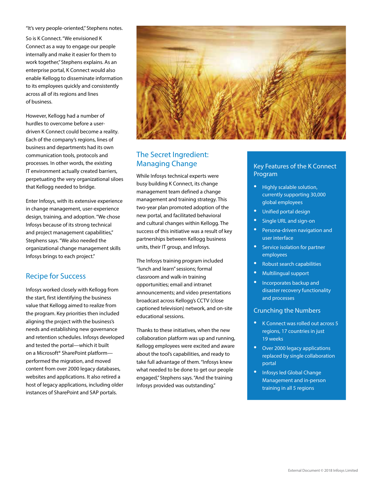"It's very people-oriented," Stephens notes.

So is K Connect. "We envisioned K Connect as a way to engage our people internally and make it easier for them to work together," Stephens explains. As an enterprise portal, K Connect would also enable Kellogg to disseminate information to its employees quickly and consistently across all of its regions and lines of business.

However, Kellogg had a number of hurdles to overcome before a userdriven K Connect could become a reality. Each of the company's regions, lines of business and departments had its own communication tools, protocols and processes. In other words, the existing IT environment actually created barriers, perpetuating the very organizational siloes that Kellogg needed to bridge.

Enter Infosys, with its extensive experience in change management, user-experience design, training, and adoption. "We chose Infosys because of its strong technical and project management capabilities," Stephens says. "We also needed the organizational change management skills Infosys brings to each project."

#### Recipe for Success

Infosys worked closely with Kellogg from the start, first identifying the business value that Kellogg aimed to realize from the program. Key priorities then included aligning the project with the business's needs and establishing new governance and retention schedules. Infosys developed and tested the portal—which it built on a Microsoft® SharePoint platform performed the migration, and moved content from over 2000 legacy databases, websites and applications. It also retired a host of legacy applications, including older instances of SharePoint and SAP portals.



# The Secret Ingredient: Managing Change

While Infosys technical experts were busy building K Connect, its change management team defined a change management and training strategy. This two-year plan promoted adoption of the new portal, and facilitated behavioral and cultural changes within Kellogg. The success of this initiative was a result of key partnerships between Kellogg business units, their IT group, and Infosys.

The Infosys training program included "lunch and learn" sessions; formal classroom and walk-in training opportunities; email and intranet announcements; and video presentations broadcast across Kellogg's CCTV (close captioned television) network, and on-site educational sessions.

Thanks to these initiatives, when the new collaboration platform was up and running, Kellogg employees were excited and aware about the tool's capabilities, and ready to take full advantage of them. "Infosys knew what needed to be done to get our people engaged," Stephens says. "And the training Infosys provided was outstanding."

#### Key Features of the K Connect Program

- Highly scalable solution, currently supporting 30,000 global employees
- Unified portal design
- Single URL and sign-on
- Persona-driven navigation and user interface
- Service isolation for partner employees
- Robust search capabilities
- Multilingual support
- Incorporates backup and disaster recovery functionality and processes

#### Crunching the Numbers

- K Connect was rolled out across 5 regions, 17 countries in just 19 weeks
- Over 2000 legacy applications replaced by single collaboration portal
- Infosys led Global Change Management and in-person training in all 5 regions